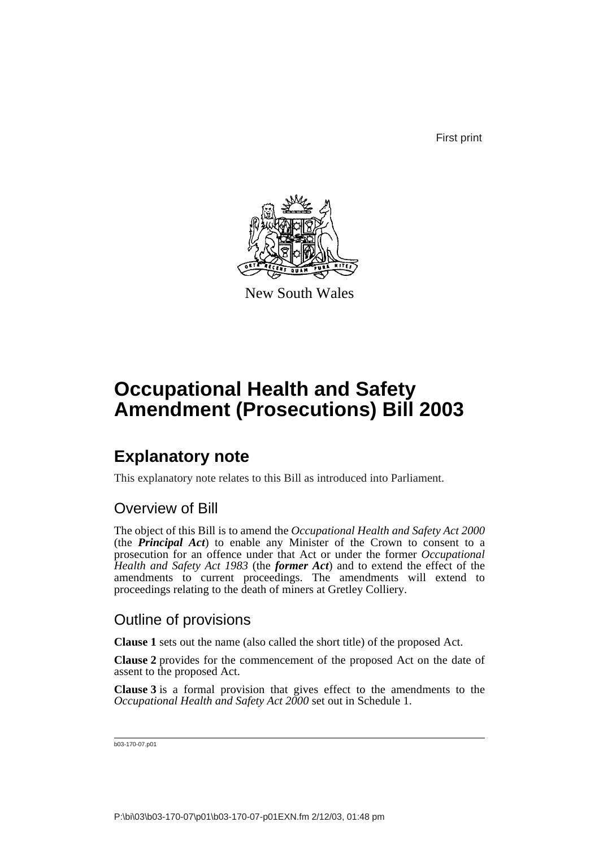First print



New South Wales

# **Occupational Health and Safety Amendment (Prosecutions) Bill 2003**

## **Explanatory note**

This explanatory note relates to this Bill as introduced into Parliament.

## Overview of Bill

The object of this Bill is to amend the *Occupational Health and Safety Act 2000* (the *Principal Act*) to enable any Minister of the Crown to consent to a prosecution for an offence under that Act or under the former *Occupational Health and Safety Act 1983* (the *former Act*) and to extend the effect of the amendments to current proceedings. The amendments will extend to proceedings relating to the death of miners at Gretley Colliery.

## Outline of provisions

**Clause 1** sets out the name (also called the short title) of the proposed Act.

**Clause 2** provides for the commencement of the proposed Act on the date of assent to the proposed Act.

**Clause 3** is a formal provision that gives effect to the amendments to the *Occupational Health and Safety Act 2000* set out in Schedule 1.

```
b03-170-07.p01
```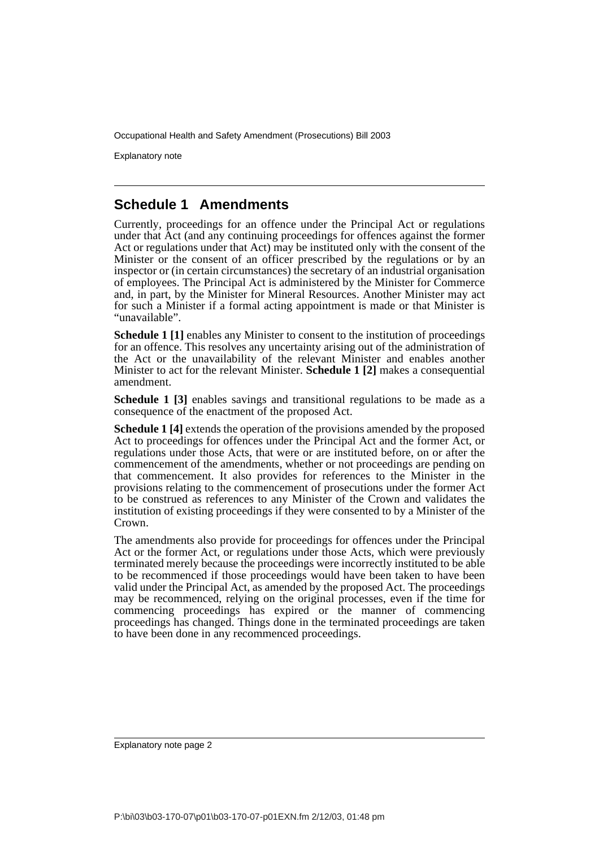Explanatory note

### **Schedule 1 Amendments**

Currently, proceedings for an offence under the Principal Act or regulations under that Act (and any continuing proceedings for offences against the former Act or regulations under that Act) may be instituted only with the consent of the Minister or the consent of an officer prescribed by the regulations or by an inspector or (in certain circumstances) the secretary of an industrial organisation of employees. The Principal Act is administered by the Minister for Commerce and, in part, by the Minister for Mineral Resources. Another Minister may act for such a Minister if a formal acting appointment is made or that Minister is "unavailable".

**Schedule 1** [1] enables any Minister to consent to the institution of proceedings for an offence. This resolves any uncertainty arising out of the administration of the Act or the unavailability of the relevant Minister and enables another Minister to act for the relevant Minister. **Schedule 1 [2]** makes a consequential amendment.

**Schedule 1 [3]** enables savings and transitional regulations to be made as a consequence of the enactment of the proposed Act.

**Schedule 1 [4]** extends the operation of the provisions amended by the proposed Act to proceedings for offences under the Principal Act and the former Act, or regulations under those Acts, that were or are instituted before, on or after the commencement of the amendments, whether or not proceedings are pending on that commencement. It also provides for references to the Minister in the provisions relating to the commencement of prosecutions under the former Act to be construed as references to any Minister of the Crown and validates the institution of existing proceedings if they were consented to by a Minister of the Crown.

The amendments also provide for proceedings for offences under the Principal Act or the former Act, or regulations under those Acts, which were previously terminated merely because the proceedings were incorrectly instituted to be able to be recommenced if those proceedings would have been taken to have been valid under the Principal Act, as amended by the proposed Act. The proceedings may be recommenced, relying on the original processes, even if the time for commencing proceedings has expired or the manner of commencing proceedings has changed. Things done in the terminated proceedings are taken to have been done in any recommenced proceedings.

Explanatory note page 2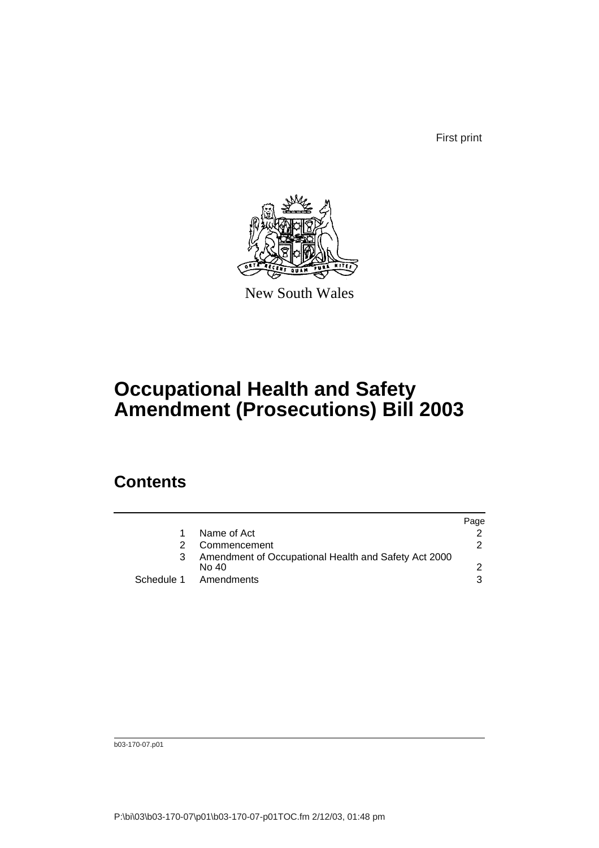First print



New South Wales

# **Occupational Health and Safety Amendment (Prosecutions) Bill 2003**

## **Contents**

|                                                      | Page                           |
|------------------------------------------------------|--------------------------------|
| Name of Act                                          |                                |
| Commencement                                         | 2                              |
| Amendment of Occupational Health and Safety Act 2000 |                                |
|                                                      |                                |
|                                                      | 3                              |
|                                                      | No 40<br>Schedule 1 Amendments |

b03-170-07.p01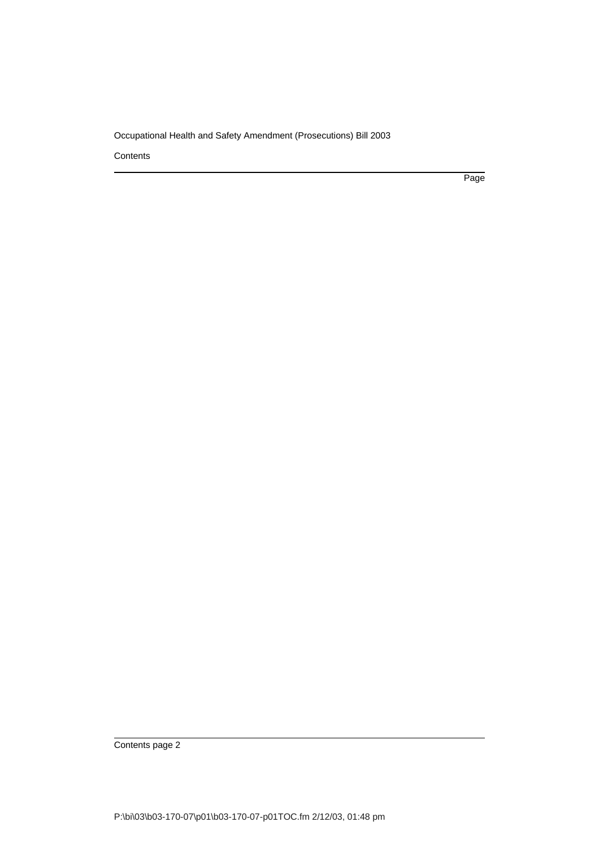**Contents** 

Page

Contents page 2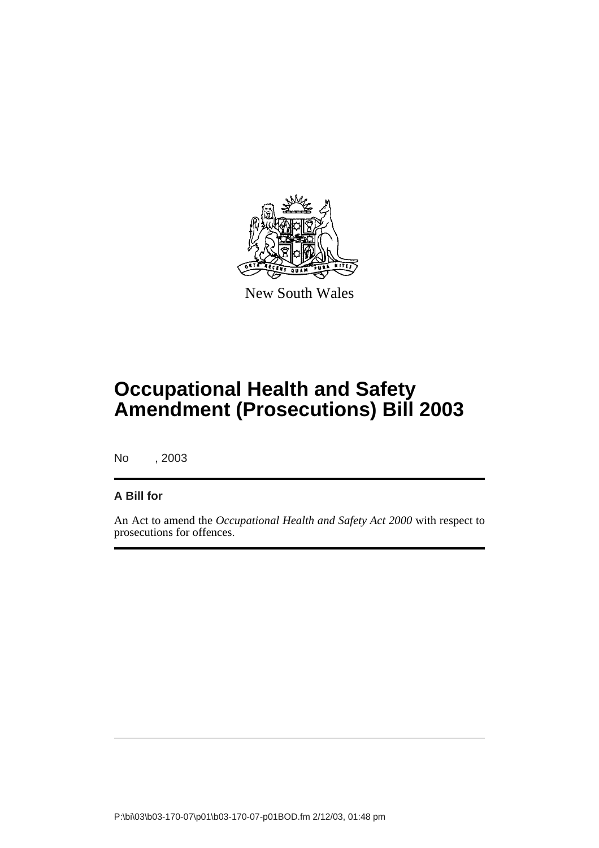

New South Wales

# **Occupational Health and Safety Amendment (Prosecutions) Bill 2003**

No , 2003

#### **A Bill for**

An Act to amend the *Occupational Health and Safety Act 2000* with respect to prosecutions for offences.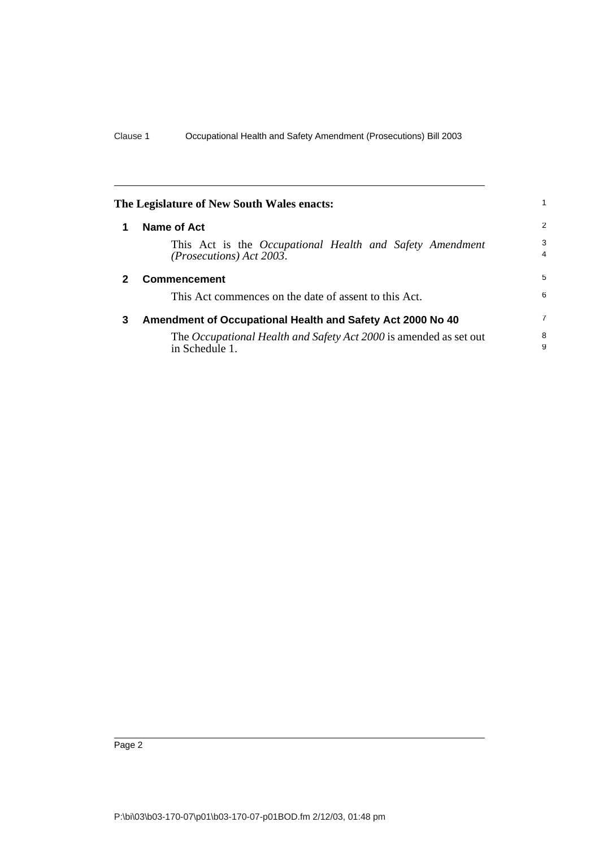<span id="page-5-2"></span><span id="page-5-1"></span><span id="page-5-0"></span>

| The Legislature of New South Wales enacts: |                                                                                      |        |  |
|--------------------------------------------|--------------------------------------------------------------------------------------|--------|--|
| 1                                          | <b>Name of Act</b>                                                                   | 2      |  |
|                                            | This Act is the Occupational Health and Safety Amendment<br>(Prosecutions) Act 2003. | 3<br>4 |  |
| 2                                          | <b>Commencement</b>                                                                  | 5      |  |
|                                            | This Act commences on the date of assent to this Act.                                | 6      |  |
| 3                                          | Amendment of Occupational Health and Safety Act 2000 No 40                           | 7      |  |
|                                            | The Occupational Health and Safety Act 2000 is amended as set out<br>in Schedule 1.  | 8<br>9 |  |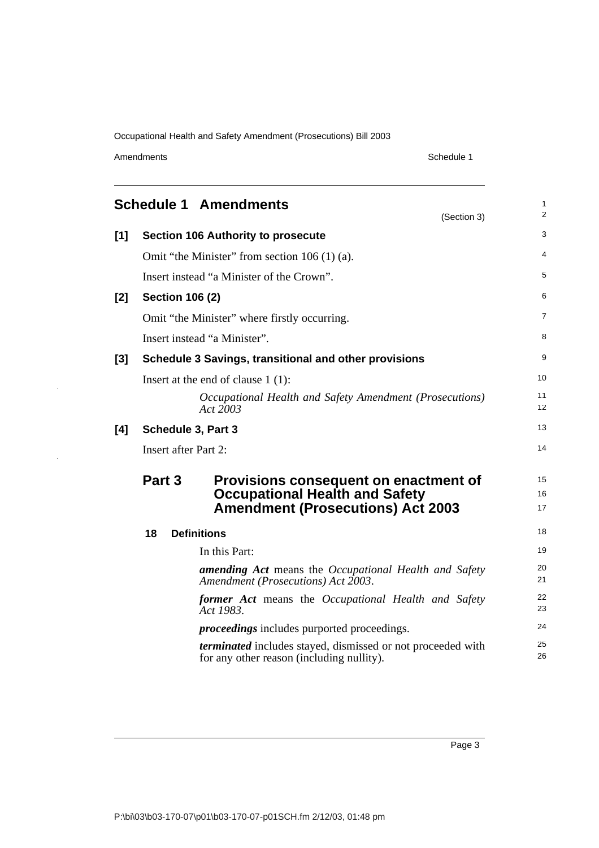Amendments Schedule 1

 $\overline{a}$ 

<span id="page-6-0"></span>

|       |                             | <b>Schedule 1 Amendments</b><br>(Section 3)                                                                                       | 1<br>$\overline{c}$ |
|-------|-----------------------------|-----------------------------------------------------------------------------------------------------------------------------------|---------------------|
| [1]   |                             | <b>Section 106 Authority to prosecute</b>                                                                                         | 3                   |
|       |                             | Omit "the Minister" from section $106(1)(a)$ .                                                                                    | 4                   |
|       |                             | Insert instead "a Minister of the Crown".                                                                                         | 5                   |
| $[2]$ | <b>Section 106 (2)</b>      |                                                                                                                                   | 6                   |
|       |                             | Omit "the Minister" where firstly occurring.                                                                                      | 7                   |
|       |                             | Insert instead "a Minister".                                                                                                      | 8                   |
| [3]   |                             | Schedule 3 Savings, transitional and other provisions                                                                             | 9                   |
|       |                             | Insert at the end of clause $1(1)$ :                                                                                              | 10                  |
|       |                             | Occupational Health and Safety Amendment (Prosecutions)<br>Act 2003                                                               | 11<br>12            |
| [4]   |                             | Schedule 3, Part 3                                                                                                                | 13                  |
|       | <b>Insert after Part 2:</b> |                                                                                                                                   | 14                  |
|       | Part 3                      | <b>Provisions consequent on enactment of</b><br><b>Occupational Health and Safety</b><br><b>Amendment (Prosecutions) Act 2003</b> | 15<br>16<br>17      |
|       | 18                          | <b>Definitions</b>                                                                                                                | 18                  |
|       |                             | In this Part:                                                                                                                     | 19                  |
|       |                             | <b>amending Act</b> means the Occupational Health and Safety<br>Amendment (Prosecutions) Act 2003.                                | 20<br>21            |
|       |                             | <b>former Act</b> means the Occupational Health and Safety<br>Act 1983.                                                           | 22<br>23            |
|       |                             | <i>proceedings</i> includes purported proceedings.                                                                                | 24                  |
|       |                             | terminated includes stayed, dismissed or not proceeded with<br>for any other reason (including nullity).                          | 25<br>26            |

Page 3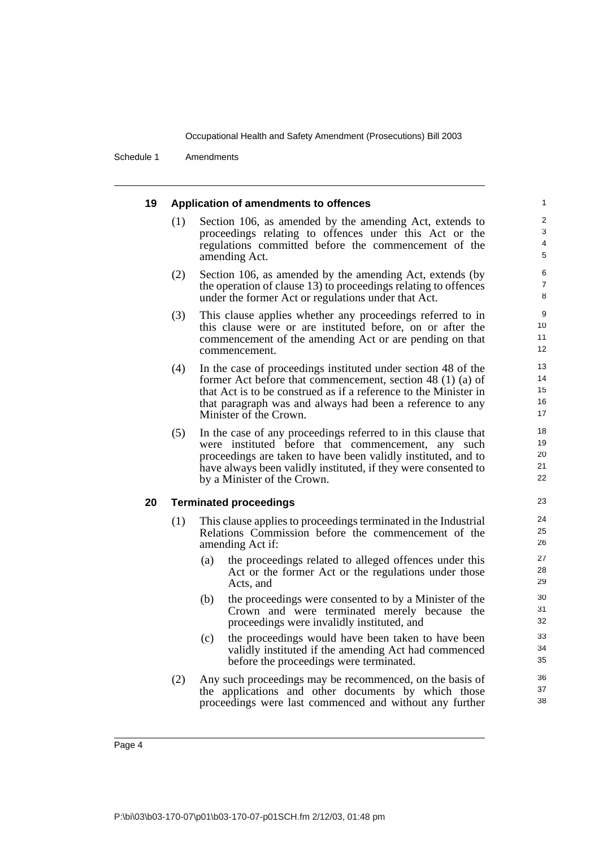Schedule 1 Amendments

#### **19 Application of amendments to offences** (1) Section 106, as amended by the amending Act, extends to proceedings relating to offences under this Act or the regulations committed before the commencement of the amending Act. (2) Section 106, as amended by the amending Act, extends (by the operation of clause 13) to proceedings relating to offences under the former Act or regulations under that Act. (3) This clause applies whether any proceedings referred to in this clause were or are instituted before, on or after the commencement of the amending Act or are pending on that commencement. (4) In the case of proceedings instituted under section 48 of the former Act before that commencement, section 48 (1) (a) of that Act is to be construed as if a reference to the Minister in that paragraph was and always had been a reference to any Minister of the Crown. (5) In the case of any proceedings referred to in this clause that were instituted before that commencement, any such proceedings are taken to have been validly instituted, and to have always been validly instituted, if they were consented to by a Minister of the Crown. **20 Terminated proceedings** (1) This clause applies to proceedings terminated in the Industrial Relations Commission before the commencement of the amending Act if: (a) the proceedings related to alleged offences under this Act or the former Act or the regulations under those Acts, and (b) the proceedings were consented to by a Minister of the Crown and were terminated merely because the proceedings were invalidly instituted, and (c) the proceedings would have been taken to have been validly instituted if the amending Act had commenced before the proceedings were terminated. (2) Any such proceedings may be recommenced, on the basis of the applications and other documents by which those proceedings were last commenced and without any further 1  $\overline{2}$ 3 4 5 6 7 8 9 10 11 12 13 14 15 16 17 18 19 20 21 22 23 24 25 26 27 28 29 30 31 32 33 34 35 36 37 38